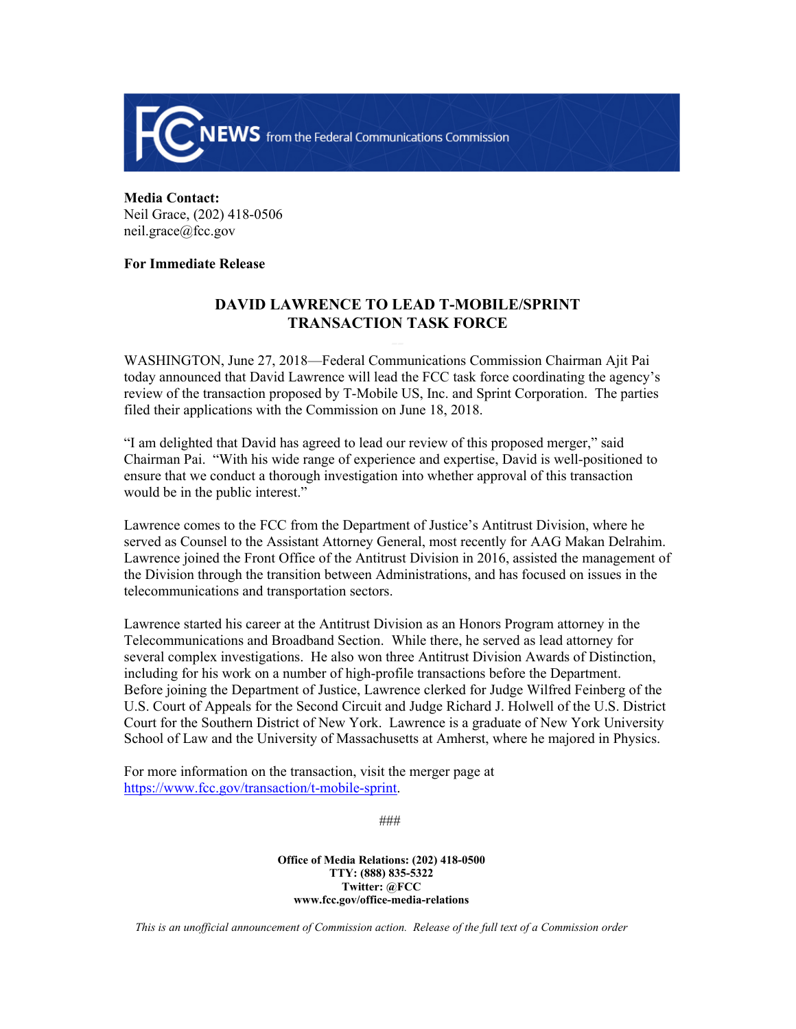

**Media Contact:** Neil Grace, (202) 418-0506 neil.grace@fcc.gov

## **For Immediate Release**

## **DAVID LAWRENCE TO LEAD T-MOBILE/SPRINT TRANSACTION TASK FORCE**

WASHINGTON, June 27, 2018—Federal Communications Commission Chairman Ajit Pai today announced that David Lawrence will lead the FCC task force coordinating the agency's review of the transaction proposed by T-Mobile US, Inc. and Sprint Corporation. The parties filed their applications with the Commission on June 18, 2018.

"I am delighted that David has agreed to lead our review of this proposed merger," said Chairman Pai. "With his wide range of experience and expertise, David is well-positioned to ensure that we conduct a thorough investigation into whether approval of this transaction would be in the public interest."

Lawrence comes to the FCC from the Department of Justice's Antitrust Division, where he served as Counsel to the Assistant Attorney General, most recently for AAG Makan Delrahim. Lawrence joined the Front Office of the Antitrust Division in 2016, assisted the management of the Division through the transition between Administrations, and has focused on issues in the telecommunications and transportation sectors.

Lawrence started his career at the Antitrust Division as an Honors Program attorney in the Telecommunications and Broadband Section. While there, he served as lead attorney for several complex investigations. He also won three Antitrust Division Awards of Distinction, including for his work on a number of high-profile transactions before the Department. Before joining the Department of Justice, Lawrence clerked for Judge Wilfred Feinberg of the U.S. Court of Appeals for the Second Circuit and Judge Richard J. Holwell of the U.S. District Court for the Southern District of New York. Lawrence is a graduate of New York University School of Law and the University of Massachusetts at Amherst, where he majored in Physics.

For more information on the transaction, visit the merger page at [https://www.fcc.gov/transaction/t-mobile-sprint.](https://www.fcc.gov/transaction/t-mobile-sprint)

###

**Office of Media Relations: (202) 418-0500 TTY: (888) 835-5322 Twitter: @FCC www.fcc.gov/office-media-relations**

*This is an unofficial announcement of Commission action. Release of the full text of a Commission order*